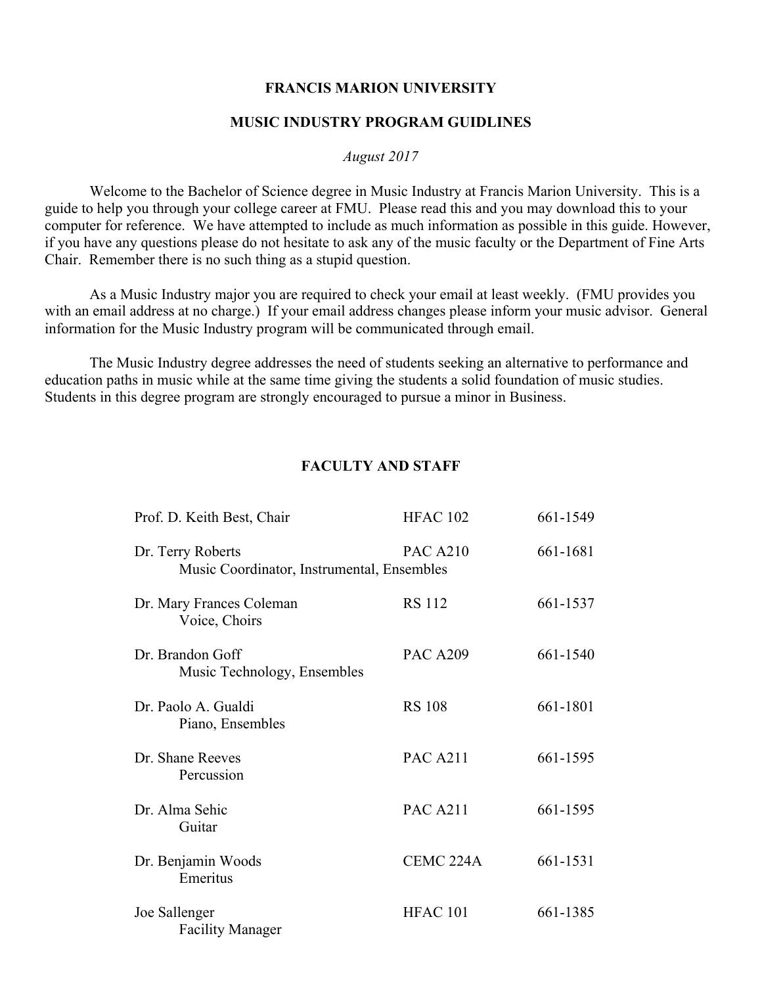#### **FRANCIS MARION UNIVERSITY**

#### **MUSIC INDUSTRY PROGRAM GUIDLINES**

#### *August 2017*

 Welcome to the Bachelor of Science degree in Music Industry at Francis Marion University. This is a guide to help you through your college career at FMU. Please read this and you may download this to your computer for reference. We have attempted to include as much information as possible in this guide. However, if you have any questions please do not hesitate to ask any of the music faculty or the Department of Fine Arts Chair. Remember there is no such thing as a stupid question.

 As a Music Industry major you are required to check your email at least weekly. (FMU provides you with an email address at no charge.) If your email address changes please inform your music advisor. General information for the Music Industry program will be communicated through email.

 The Music Industry degree addresses the need of students seeking an alternative to performance and education paths in music while at the same time giving the students a solid foundation of music studies. Students in this degree program are strongly encouraged to pursue a minor in Business.

## **FACULTY AND STAFF**

| Prof. D. Keith Best, Chair                                      | <b>HFAC 102</b>      | 661-1549 |
|-----------------------------------------------------------------|----------------------|----------|
| Dr. Terry Roberts<br>Music Coordinator, Instrumental, Ensembles | <b>PAC A210</b>      | 661-1681 |
| Dr. Mary Frances Coleman<br>Voice, Choirs                       | <b>RS</b> 112        | 661-1537 |
| Dr. Brandon Goff<br>Music Technology, Ensembles                 | <b>PAC A209</b>      | 661-1540 |
| Dr. Paolo A. Gualdi<br>Piano, Ensembles                         | <b>RS 108</b>        | 661-1801 |
| Dr. Shane Reeves<br>Percussion                                  | <b>PAC A211</b>      | 661-1595 |
| Dr. Alma Sehic<br>Guitar                                        | <b>PAC A211</b>      | 661-1595 |
| Dr. Benjamin Woods<br>Emeritus                                  | CEMC <sub>224A</sub> | 661-1531 |
| Joe Sallenger<br><b>Facility Manager</b>                        | <b>HFAC 101</b>      | 661-1385 |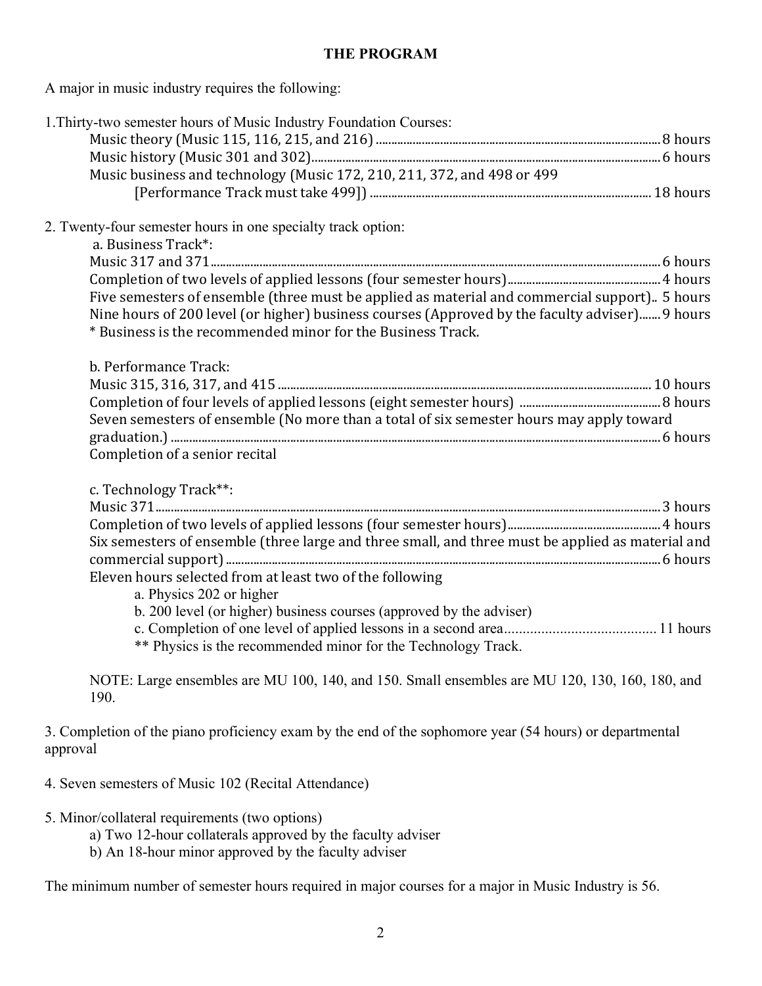## **THE PROGRAM**

A major in music industry requires the following:

| 1. Thirty-two semester hours of Music Industry Foundation Courses:<br>Music business and technology (Music 172, 210, 211, 372, and 498 or 499                 |
|---------------------------------------------------------------------------------------------------------------------------------------------------------------|
| 2. Twenty-four semester hours in one specialty track option:                                                                                                  |
| a. Business Track*:                                                                                                                                           |
|                                                                                                                                                               |
| Five semesters of ensemble (three must be applied as material and commercial support) 5 hours                                                                 |
| Nine hours of 200 level (or higher) business courses (Approved by the faculty adviser) 9 hours<br>* Business is the recommended minor for the Business Track. |
| b. Performance Track:                                                                                                                                         |
|                                                                                                                                                               |
|                                                                                                                                                               |
| Seven semesters of ensemble (No more than a total of six semester hours may apply toward                                                                      |
|                                                                                                                                                               |
| Completion of a senior recital                                                                                                                                |
| c. Technology Track**:                                                                                                                                        |
|                                                                                                                                                               |
|                                                                                                                                                               |
| Six semesters of ensemble (three large and three small, and three must be applied as material and                                                             |
|                                                                                                                                                               |
| Eleven hours selected from at least two of the following                                                                                                      |
| a. Physics 202 or higher<br>b. 200 level (or higher) business courses (approved by the adviser)                                                               |
|                                                                                                                                                               |
| ** Physics is the recommended minor for the Technology Track.                                                                                                 |
| NOTE: Large ensembles are MU 100, 140, and 150. Small ensembles are MU 120, 130, 160, 180, and<br>190.                                                        |
| 3. Completion of the piano proficiency exam by the end of the sophomore year (54 hours) or departmental<br>approval                                           |
| 4. Seven semesters of Music 102 (Recital Attendance)                                                                                                          |

5. Minor/collateral requirements (two options)

- a) Two 12-hour collaterals approved by the faculty adviser
- b) An 18-hour minor approved by the faculty adviser

The minimum number of semester hours required in major courses for a major in Music Industry is 56.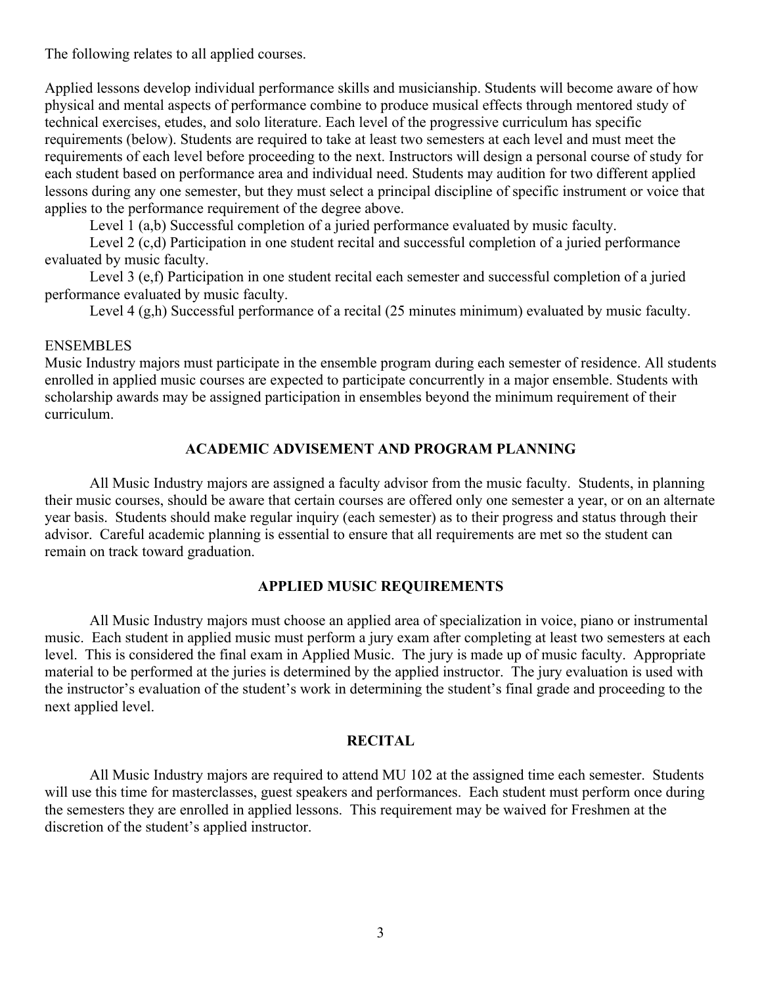The following relates to all applied courses.

Applied lessons develop individual performance skills and musicianship. Students will become aware of how physical and mental aspects of performance combine to produce musical effects through mentored study of technical exercises, etudes, and solo literature. Each level of the progressive curriculum has specific requirements (below). Students are required to take at least two semesters at each level and must meet the requirements of each level before proceeding to the next. Instructors will design a personal course of study for each student based on performance area and individual need. Students may audition for two different applied lessons during any one semester, but they must select a principal discipline of specific instrument or voice that applies to the performance requirement of the degree above.

Level 1 (a,b) Successful completion of a juried performance evaluated by music faculty.

Level 2 (c,d) Participation in one student recital and successful completion of a juried performance evaluated by music faculty.

Level 3 (e,f) Participation in one student recital each semester and successful completion of a juried performance evaluated by music faculty.

Level 4 (g,h) Successful performance of a recital (25 minutes minimum) evaluated by music faculty.

## ENSEMBLES

Music Industry majors must participate in the ensemble program during each semester of residence. All students enrolled in applied music courses are expected to participate concurrently in a major ensemble. Students with scholarship awards may be assigned participation in ensembles beyond the minimum requirement of their curriculum.

## **ACADEMIC ADVISEMENT AND PROGRAM PLANNING**

 All Music Industry majors are assigned a faculty advisor from the music faculty. Students, in planning their music courses, should be aware that certain courses are offered only one semester a year, or on an alternate year basis. Students should make regular inquiry (each semester) as to their progress and status through their advisor. Careful academic planning is essential to ensure that all requirements are met so the student can remain on track toward graduation.

### **APPLIED MUSIC REQUIREMENTS**

 All Music Industry majors must choose an applied area of specialization in voice, piano or instrumental music. Each student in applied music must perform a jury exam after completing at least two semesters at each level. This is considered the final exam in Applied Music. The jury is made up of music faculty. Appropriate material to be performed at the juries is determined by the applied instructor. The jury evaluation is used with the instructor's evaluation of the student's work in determining the student's final grade and proceeding to the next applied level.

### **RECITAL**

 All Music Industry majors are required to attend MU 102 at the assigned time each semester. Students will use this time for masterclasses, guest speakers and performances. Each student must perform once during the semesters they are enrolled in applied lessons. This requirement may be waived for Freshmen at the discretion of the student's applied instructor.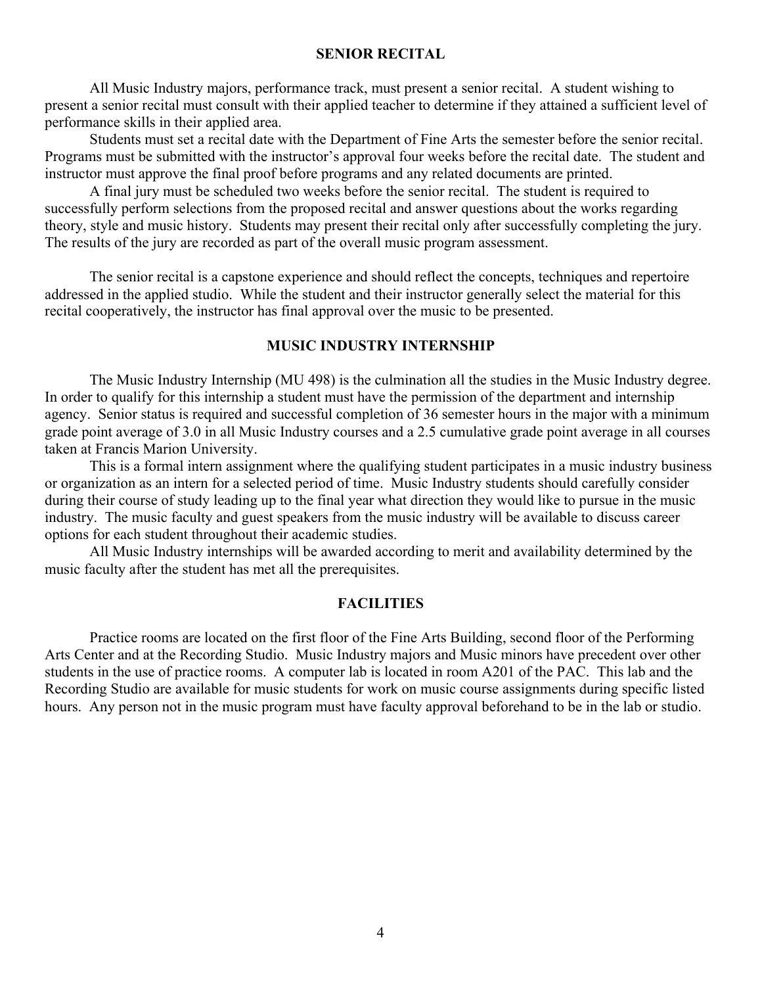#### **SENIOR RECITAL**

 All Music Industry majors, performance track, must present a senior recital. A student wishing to present a senior recital must consult with their applied teacher to determine if they attained a sufficient level of performance skills in their applied area.

 Students must set a recital date with the Department of Fine Arts the semester before the senior recital. Programs must be submitted with the instructor's approval four weeks before the recital date. The student and instructor must approve the final proof before programs and any related documents are printed.

 A final jury must be scheduled two weeks before the senior recital. The student is required to successfully perform selections from the proposed recital and answer questions about the works regarding theory, style and music history. Students may present their recital only after successfully completing the jury. The results of the jury are recorded as part of the overall music program assessment.

 The senior recital is a capstone experience and should reflect the concepts, techniques and repertoire addressed in the applied studio. While the student and their instructor generally select the material for this recital cooperatively, the instructor has final approval over the music to be presented.

## **MUSIC INDUSTRY INTERNSHIP**

The Music Industry Internship (MU 498) is the culmination all the studies in the Music Industry degree. In order to qualify for this internship a student must have the permission of the department and internship agency. Senior status is required and successful completion of 36 semester hours in the major with a minimum grade point average of 3.0 in all Music Industry courses and a 2.5 cumulative grade point average in all courses taken at Francis Marion University.

 This is a formal intern assignment where the qualifying student participates in a music industry business or organization as an intern for a selected period of time. Music Industry students should carefully consider during their course of study leading up to the final year what direction they would like to pursue in the music industry. The music faculty and guest speakers from the music industry will be available to discuss career options for each student throughout their academic studies.

 All Music Industry internships will be awarded according to merit and availability determined by the music faculty after the student has met all the prerequisites.

### **FACILITIES**

 Practice rooms are located on the first floor of the Fine Arts Building, second floor of the Performing Arts Center and at the Recording Studio. Music Industry majors and Music minors have precedent over other students in the use of practice rooms. A computer lab is located in room A201 of the PAC. This lab and the Recording Studio are available for music students for work on music course assignments during specific listed hours. Any person not in the music program must have faculty approval beforehand to be in the lab or studio.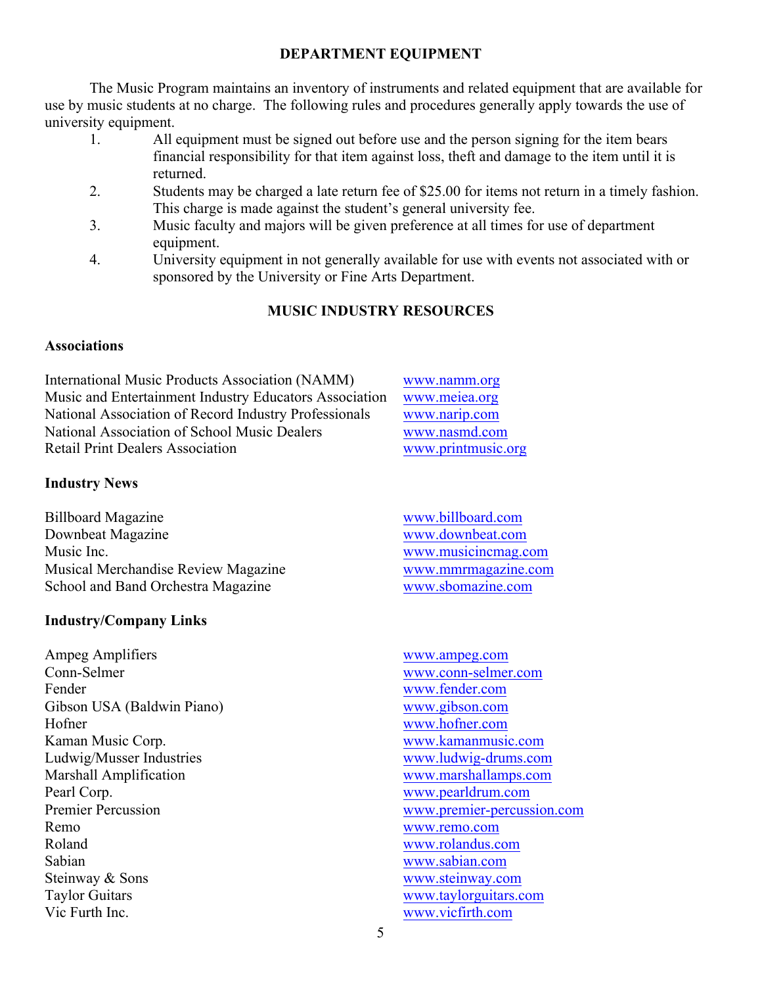# **DEPARTMENT EQUIPMENT**

The Music Program maintains an inventory of instruments and related equipment that are available for use by music students at no charge. The following rules and procedures generally apply towards the use of university equipment.

- 1. All equipment must be signed out before use and the person signing for the item bears financial responsibility for that item against loss, theft and damage to the item until it is returned.
- 2. Students may be charged a late return fee of \$25.00 for items not return in a timely fashion. This charge is made against the student's general university fee.
- 3. Music faculty and majors will be given preference at all times for use of department equipment.
- 4. University equipment in not generally available for use with events not associated with or sponsored by the University or Fine Arts Department.

# **MUSIC INDUSTRY RESOURCES**

## **Associations**

International Music Products Association (NAMM) www.namm.org Music and Entertainment Industry Educators Association www.meiea.org National Association of Record Industry Professionals www.narip.com National Association of School Music Dealers www.nasmd.com Retail Print Dealers Association www.printmusic.org

# **Industry News**

Billboard Magazine www.billboard.com<br>
Downbeat Magazine www.downbeat.com Downbeat Magazine Music Inc. Www.musicincmag.com Musical Merchandise Review Magazine www.mmrmagazine.com School and Band Orchestra Magazine www.sbomazine.com

## **Industry/Company Links**

Ampeg Amplifiers www.ampeg.com Conn-Selmer www.conn-selmer.com Fender www.fender.com Gibson USA (Baldwin Piano) www.gibson.com Hofner www.hofner.com Kaman Music Corp. www.kamanmusic.com Ludwig/Musser Industries www.ludwig-drums.com Marshall Amplification www.marshallamps.com Pearl Corp.<br>
Premier Percussion<br>
Premier Percussion<br>
Www.pearldrum.com<br>
Www.pearldrum.com<br>
Www.pearldrum.com Remo www.remo.com Roland www.rolandus.com Sabian www.sabian.com Steinway & Sons www.steinway.com Taylor Guitars www.taylorguitars.com Vic Furth Inc. www.vicfirth.com

- 
- www.premier-percussion.com